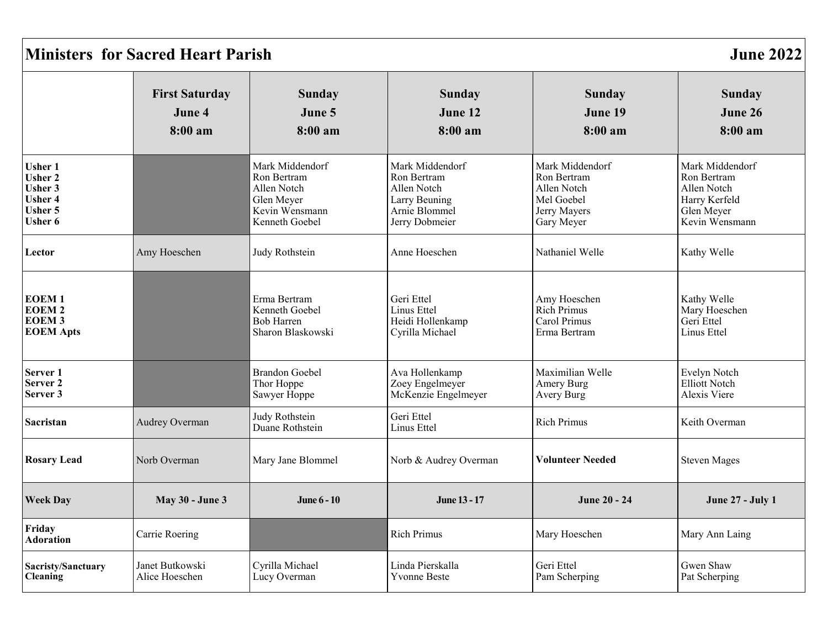| <b>Ministers for Sacred Heart Parish</b><br><b>June 2022</b>                                      |                                            |                                                                                                 |                                                                                                   |                                                                                           |                                                                                                |
|---------------------------------------------------------------------------------------------------|--------------------------------------------|-------------------------------------------------------------------------------------------------|---------------------------------------------------------------------------------------------------|-------------------------------------------------------------------------------------------|------------------------------------------------------------------------------------------------|
|                                                                                                   | <b>First Saturday</b><br>June 4<br>8:00 am | <b>Sunday</b><br>June 5<br>8:00 am                                                              | Sunday<br>June 12<br>8:00 a m                                                                     | <b>Sunday</b><br>June 19<br>8:00 am                                                       | <b>Sunday</b><br>June 26<br>8:00 am                                                            |
| <b>Usher 1</b><br><b>Usher 2</b><br><b>Usher 3</b><br><b>Usher 4</b><br>Usher 5<br><b>Usher 6</b> |                                            | Mark Middendorf<br>Ron Bertram<br>Allen Notch<br>Glen Meyer<br>Kevin Wensmann<br>Kenneth Goebel | Mark Middendorf<br>Ron Bertram<br>Allen Notch<br>Larry Beuning<br>Arnie Blommel<br>Jerry Dobmeier | Mark Middendorf<br>Ron Bertram<br>Allen Notch<br>Mel Goebel<br>Jerry Mayers<br>Gary Meyer | Mark Middendorf<br>Ron Bertram<br>Allen Notch<br>Harry Kerfeld<br>Glen Meyer<br>Kevin Wensmann |
| Lector                                                                                            | Amy Hoeschen                               | Judy Rothstein                                                                                  | Anne Hoeschen                                                                                     | Nathaniel Welle                                                                           | Kathy Welle                                                                                    |
| <b>EOEM1</b><br><b>EOEM2</b><br><b>EOEM3</b><br><b>EOEM Apts</b>                                  |                                            | Erma Bertram<br>Kenneth Goebel<br>Bob Harren<br>Sharon Blaskowski                               | Geri Ettel<br>Linus Ettel<br>Heidi Hollenkamp<br>Cyrilla Michael                                  | Amy Hoeschen<br><b>Rich Primus</b><br>Carol Primus<br>Erma Bertram                        | Kathy Welle<br>Mary Hoeschen<br>Geri Ettel<br>Linus Ettel                                      |
| Server 1<br>Server <sub>2</sub><br>Server 3                                                       |                                            | <b>Brandon Goebel</b><br>Thor Hoppe<br>Sawyer Hoppe                                             | Ava Hollenkamp<br>Zoey Engelmeyer<br>McKenzie Engelmeyer                                          | Maximilian Welle<br>Amery Burg<br>Avery Burg                                              | Evelyn Notch<br><b>Elliott Notch</b><br>Alexis Viere                                           |
| Sacristan                                                                                         | Audrey Overman                             | Judy Rothstein<br>Duane Rothstein                                                               | Geri Ettel<br>Linus Ettel                                                                         | <b>Rich Primus</b>                                                                        | Keith Overman                                                                                  |
| <b>Rosary Lead</b>                                                                                | Norb Overman                               | Mary Jane Blommel                                                                               | Norb & Audrey Overman                                                                             | <b>Volunteer Needed</b>                                                                   | <b>Steven Mages</b>                                                                            |
| <b>Week Day</b>                                                                                   | <b>May 30 - June 3</b>                     | June 6 - 10                                                                                     | June 13 - 17                                                                                      | <b>June 20 - 24</b>                                                                       | <b>June 27 - July 1</b>                                                                        |
| Friday<br><b>Adoration</b>                                                                        | Carrie Roering                             |                                                                                                 | <b>Rich Primus</b>                                                                                | Mary Hoeschen                                                                             | Mary Ann Laing                                                                                 |
| Sacristy/Sanctuary<br><b>Cleaning</b>                                                             | Janet Butkowski<br>Alice Hoeschen          | Cyrilla Michael<br>Lucy Overman                                                                 | Linda Pierskalla<br><b>Yvonne Beste</b>                                                           | Geri Ettel<br>Pam Scherping                                                               | Gwen Shaw<br>Pat Scherping                                                                     |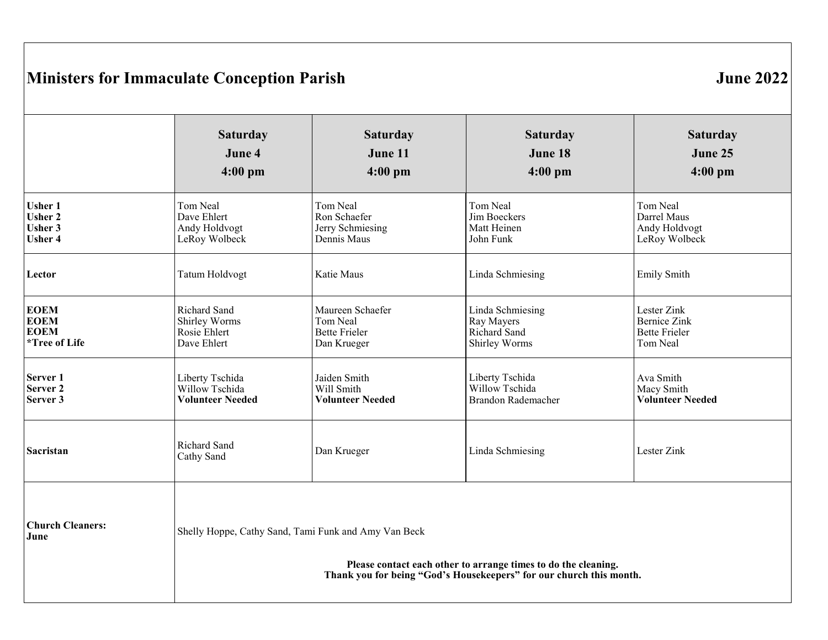# **Ministers for Immaculate Conception Parish 1986 1996 1997 12:33 13:34 13:35 13:36 13:36 13:36 13:36 13:36 14:36 14:36 14:36 14:36 14:36 14:36 14:36 14:36 14:36 14:36 14:36 14:36 14:36 14:36 14:36 14:36 14:36 14:36 14:36 1**

|                                 | <b>Saturday</b>                                                                                                                                                                               | <b>Saturday</b>         | <b>Saturday</b>    | <b>Saturday</b>         |
|---------------------------------|-----------------------------------------------------------------------------------------------------------------------------------------------------------------------------------------------|-------------------------|--------------------|-------------------------|
|                                 | June 4                                                                                                                                                                                        | June 11                 | June 18            | June 25                 |
|                                 | $4:00$ pm                                                                                                                                                                                     | $4:00$ pm               | $4:00$ pm          | $4:00$ pm               |
| <b>Usher 1</b>                  | Tom Neal                                                                                                                                                                                      | Tom Neal                | Tom Neal           | Tom Neal                |
| <b>Usher 2</b>                  | Dave Ehlert                                                                                                                                                                                   | Ron Schaefer            | Jim Boeckers       | Darrel Maus             |
| <b>Usher 3</b>                  | Andy Holdvogt                                                                                                                                                                                 | Jerry Schmiesing        | Matt Heinen        | Andy Holdvogt           |
| <b>Usher 4</b>                  | LeRoy Wolbeck                                                                                                                                                                                 | Dennis Maus             | John Funk          | LeRoy Wolbeck           |
| Lector                          | <b>Tatum Holdvogt</b>                                                                                                                                                                         | Katie Maus              | Linda Schmiesing   | Emily Smith             |
| <b>EOEM</b>                     | Richard Sand                                                                                                                                                                                  | Maureen Schaefer        | Linda Schmiesing   | Lester Zink             |
| <b>EOEM</b>                     | Shirley Worms                                                                                                                                                                                 | Tom Neal                | Ray Mayers         | <b>Bernice Zink</b>     |
| <b>EOEM</b>                     | Rosie Ehlert                                                                                                                                                                                  | <b>Bette Frieler</b>    | Richard Sand       | <b>Bette Frieler</b>    |
| <i>*Tree of Life</i>            | Dave Ehlert                                                                                                                                                                                   | Dan Krueger             | Shirley Worms      | Tom Neal                |
| Server <sub>1</sub>             | Liberty Tschida                                                                                                                                                                               | Jaiden Smith            | Liberty Tschida    | Ava Smith               |
| Server <sub>2</sub>             | Willow Tschida                                                                                                                                                                                | Will Smith              | Willow Tschida     | Macy Smith              |
| Server 3                        | <b>Volunteer Needed</b>                                                                                                                                                                       | <b>Volunteer Needed</b> | Brandon Rademacher | <b>Volunteer Needed</b> |
| Sacristan                       | Richard Sand<br>Cathy Sand                                                                                                                                                                    | Dan Krueger             | Linda Schmiesing   | Lester Zink             |
| <b>Church Cleaners:</b><br>June | Shelly Hoppe, Cathy Sand, Tami Funk and Amy Van Beck<br>Please contact each other to arrange times to do the cleaning.<br>Thank you for being "God's Housekeepers" for our church this month. |                         |                    |                         |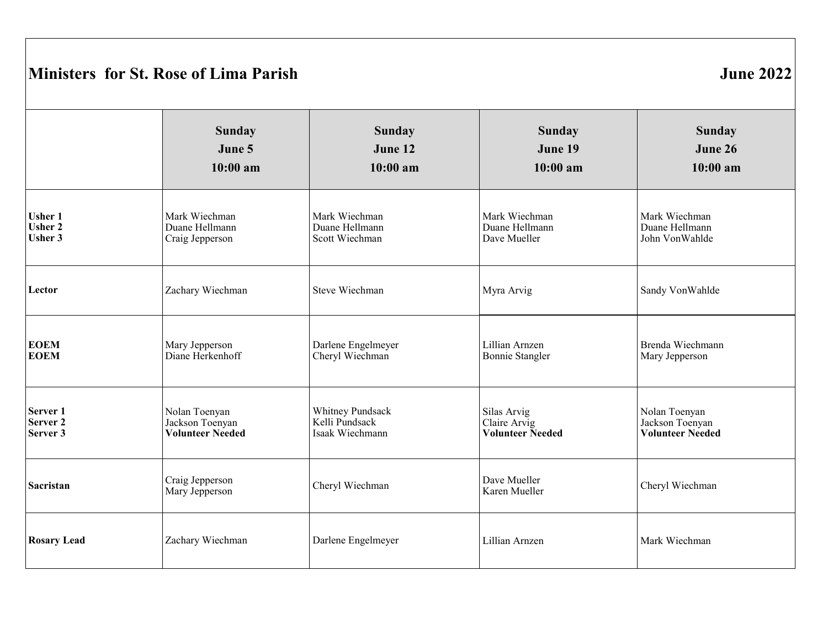# **Ministers for St. Rose of Lima Parish June 2022**

|                     | <b>Sunday</b>                     | <b>Sunday</b>      | <b>Sunday</b>                 | <b>Sunday</b>           |
|---------------------|-----------------------------------|--------------------|-------------------------------|-------------------------|
|                     | June 5                            | June 12            | June 19                       | June 26                 |
|                     | $10:00$ am                        | $10:00$ am         | $10:00$ am                    | $10:00$ am              |
| <b>Usher 1</b>      | Mark Wiechman                     | Mark Wiechman      | Mark Wiechman                 | Mark Wiechman           |
| <b>Usher 2</b>      | Duane Hellmann                    | Duane Hellmann     | Duane Hellmann                | Duane Hellmann          |
| <b>Usher 3</b>      | Craig Jepperson                   | Scott Wiechman     | Dave Mueller                  | John VonWahlde          |
| Lector              | Zachary Wiechman                  | Steve Wiechman     | Myra Arvig                    | Sandy VonWahlde         |
| <b>EOEM</b>         | Mary Jepperson                    | Darlene Engelmeyer | Lillian Arnzen                | Brenda Wiechmann        |
| <b>EOEM</b>         | Diane Herkenhoff                  | Cheryl Wiechman    | <b>Bonnie Stangler</b>        | Mary Jepperson          |
| Server <sub>1</sub> | Nolan Toenyan                     | Whitney Pundsack   | Silas Arvig                   | Nolan Toenyan           |
| Server <sub>2</sub> | Jackson Toenyan                   | Kelli Pundsack     | Claire Arvig                  | Jackson Toenyan         |
| Server 3            | <b>Volunteer Needed</b>           | Isaak Wiechmann    | <b>Volunteer Needed</b>       | <b>Volunteer Needed</b> |
| Sacristan           | Craig Jepperson<br>Mary Jepperson | Cheryl Wiechman    | Dave Mueller<br>Karen Mueller | Cheryl Wiechman         |
| <b>Rosary Lead</b>  | Zachary Wiechman                  | Darlene Engelmeyer | Lillian Arnzen                | Mark Wiechman           |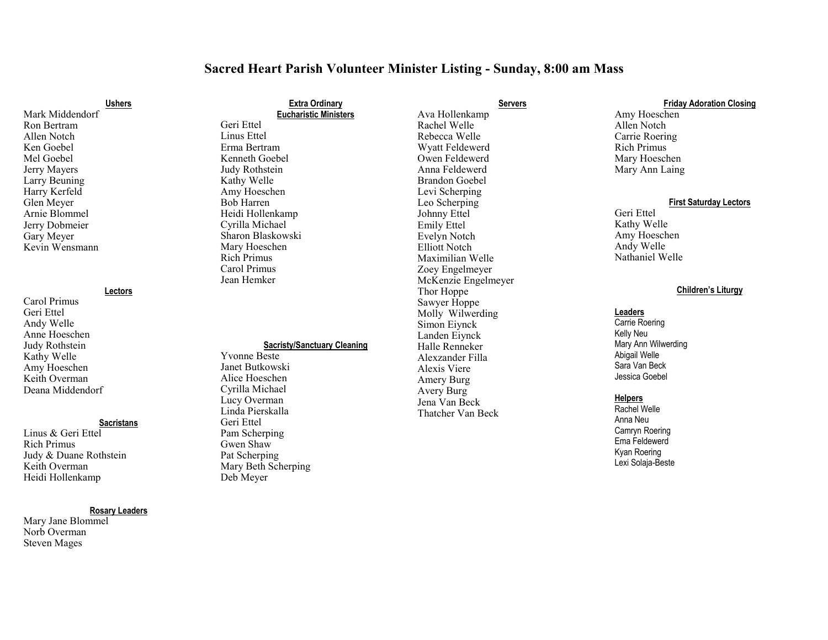## **Sacred Heart Parish Volunteer Minister Listing - Sunday, 8:00 am Mass**

#### **Ushers**

Mark Middendorf Ron Bertram Allen Notch Ken Goebel Mel Goebel Jerry Mayers Larry Beuning Harry Kerfeld Glen Meyer Arnie Blommel Jerry Dobmeier Gary Meyer Kevin Wensmann

#### **Lectors**

Carol Primus Geri Ettel Andy Welle Anne Hoeschen Judy Rothstein Kathy Welle Amy Hoeschen Keith Overman Deana Middendorf

#### **Sacristans**

Linus & Geri Ettel Rich Primus Judy & Duane Rothstein Keith Overman Heidi Hollenkamp

## **Rosary Leaders**

Mary Jane Blommel Norb Overman Steven Mages

# **Extra Ordinary Eucharistic Ministers** Linus Ettel

Erma Bertram Kenneth Goebel Judy Rothstein Kathy Welle Amy Hoeschen Bob Harren Heidi Hollenkamp Cyrilla Michael Sharon Blaskowski Mary Hoeschen Rich Primus Carol Primus Jean Hemker

Geri Ettel

## **Sacristy/Sanctuary Cleaning**

Yvonne Beste Janet Butkowski Alice Hoeschen Cyrilla Michael Lucy Overman Linda Pierskalla Geri Ettel Pam Scherping Gwen Shaw Pat Scherping Mary Beth Scherping Deb Meyer

## Ava Hollenkamp Rachel Welle Rebecca Welle Wyatt Feldewerd Owen Feldewerd Anna Feldewerd Brandon Goebel Levi Scherping Leo Scherping Johnny Ettel Emily Ettel Evelyn Notch Elliott Notch Maximilian Welle Zoey Engelmeyer McKenzie Engelmeyer Thor Hoppe Sawyer Hoppe Molly Wilwerding Simon Eiynck Landen Eiynck Halle Renneker Alexzander Filla Alexis Viere Amery Burg Avery Burg Jena Van Beck Thatcher Van Beck

**Servers**

## **Friday Adoration Closing** Amy Hoeschen Allen Notch Carrie Roering Rich Primus Mary Hoeschen Mary Ann Laing

#### **First Saturday Lectors**

Geri Ettel Kathy Welle Amy Hoeschen Andy Welle Nathaniel Welle

## **Children's Liturgy**

#### **Leaders**

Carrie Roering Kelly Neu Mary Ann Wilwerding Abigail Welle Sara Van Beck Jessica Goebel

#### **Helpers**

Rachel Welle Anna Neu Camryn Roering Ema Feldewerd Kyan Roering Lexi Solaja-Beste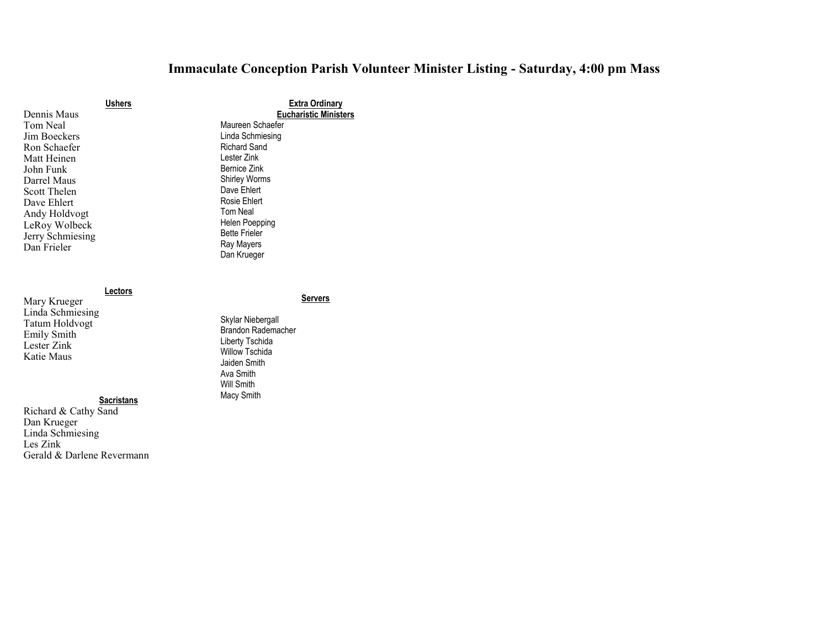## **Immaculate Conception Parish Volunteer Minister Listing - Saturday, 4:00 pm Mass**

|                  | <b>Ushers</b> |
|------------------|---------------|
| Dennis Maus      |               |
| Tom Neal         |               |
| Jim Boeckers     |               |
| Ron Schaefer     |               |
| Matt Heinen      |               |
| John Funk        |               |
| Darrel Maus      |               |
| Scott Thelen     |               |
| Dave Ehlert      |               |
| Andy Holdvogt    |               |
| LeRoy Wolbeck    |               |
| Jerry Schmiesing |               |
| Dan Frieler      |               |
|                  |               |

## **Lectors**

**Servers**

**Extra Ordinary Eucharistic Ministers**

Maureen Schaefer Linda Schmiesing Richard Sand Lester Zink Bernice Zink Shirley Worms Dave Ehlert Rosie Ehlert Tom Neal Helen Poepping Bette Frieler Ray Mayers Dan Krueger

Skylar Niebergall Brandon Rademacher Liberty Tschida Willow Tschida Jaiden Smith Ava Smith Will Smith Macy Smith

Mary Krueger Linda Schmiesing Tatum Holdvogt Emily Smith Lester Zink Katie Maus

## **Sacristans**

Richard & Cathy Sand Dan Krueger Linda Schmiesing Les Zink Gerald & Darlene Revermann